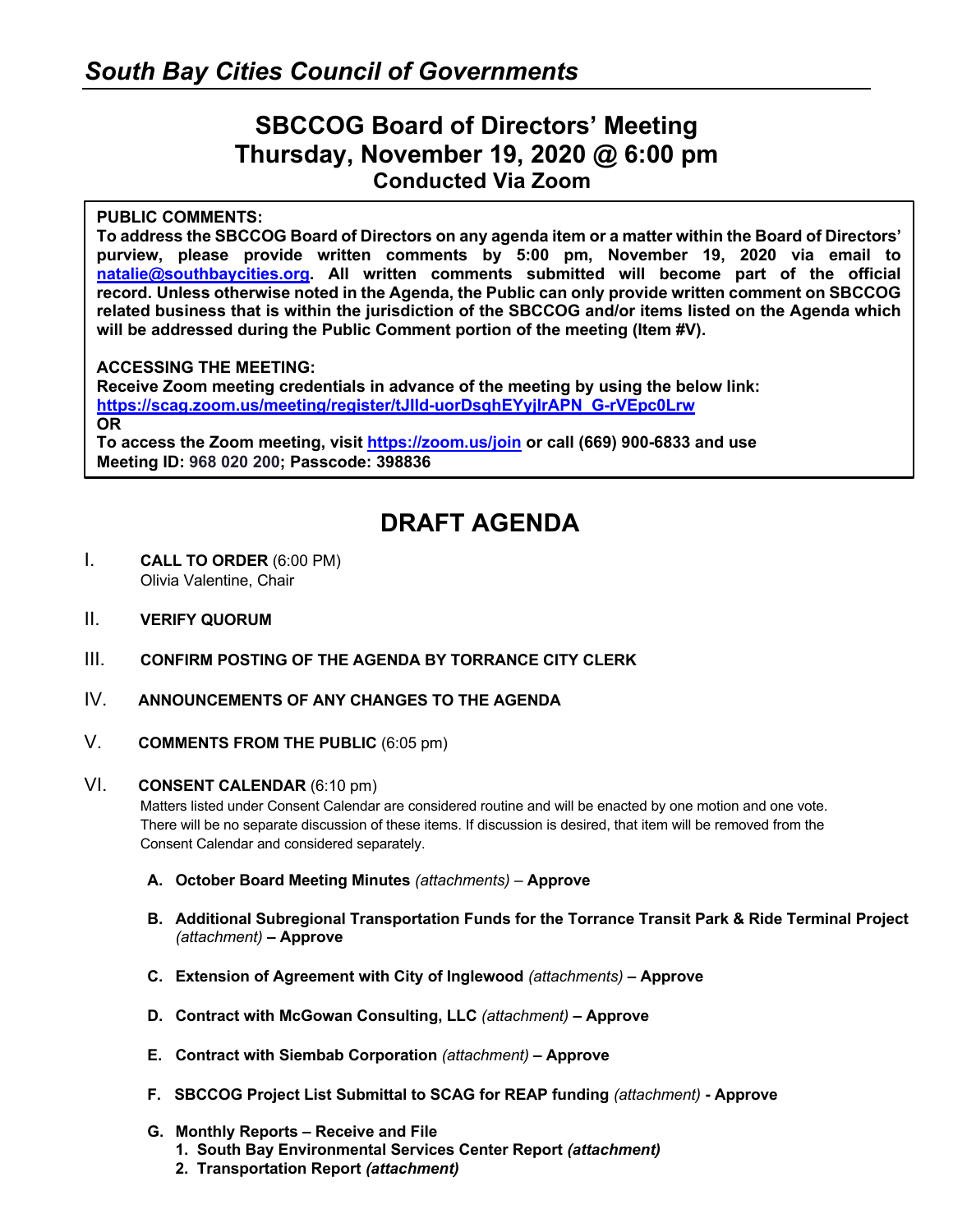### **SBCCOG Board of Directors' Meeting Thursday, November 19, 2020 @ 6:00 pm Conducted Via Zoom**

#### **PUBLIC COMMENTS:**

**To address the SBCCOG Board of Directors on any agenda item or a matter within the Board of Directors' purview, please provide written comments by 5:00 pm, November 19, 2020 via email to natalie@southbaycities.org. All written comments submitted will become part of the official record. Unless otherwise noted in the Agenda, the Public can only provide written comment on SBCCOG related business that is within the jurisdiction of the SBCCOG and/or items listed on the Agenda which**  will be addressed during the Public Comment portion of the meeting (Item #V).

#### **ACCESSING THE MEETING:**

**Receive Zoom meeting credentials in advance of the meeting by using the below link: https://scag.zoom.us/meeting/register/tJIld-uorDsqhEYyjIrAPN\_G-rVEpc0Lrw OR To access the Zoom meeting, visit https://zoom.us/join or call (669) 900-6833 and use** 

**Meeting ID: 968 020 200; Passcode: 398836**

## **DRAFT AGENDA**

- I. **CALL TO ORDER** (6:00 PM) Olivia Valentine, Chair
- II. **VERIFY QUORUM**
- III. **CONFIRM POSTING OF THE AGENDA BY TORRANCE CITY CLERK**
- IV. **ANNOUNCEMENTS OF ANY CHANGES TO THE AGENDA**
- V. **COMMENTS FROM THE PUBLIC** (6:05 pm)

#### VI. **CONSENT CALENDAR** (6:10 pm)

Matters listed under Consent Calendar are considered routine and will be enacted by one motion and one vote. There will be no separate discussion of these items. If discussion is desired, that item will be removed from the Consent Calendar and considered separately.

- **A. October Board Meeting Minutes** *(attachments) –* **Approve**
- **B. Additional Subregional Transportation Funds for the Torrance Transit Park & Ride Terminal Project**  *(attachment)* **– Approve**
- **C. Extension of Agreement with City of Inglewood** *(attachments)* **– Approve**
- **D. Contract with McGowan Consulting, LLC** *(attachment)* **– Approve**
- **E. Contract with Siembab Corporation** *(attachment)* **– Approve**
- **F. SBCCOG Project List Submittal to SCAG for REAP funding** *(attachment)* **- Approve**
- **G. Monthly Reports – Receive and File**
	- **1. South Bay Environmental Services Center Report** *(attachment)*
	- **2. Transportation Report** *(attachment)*